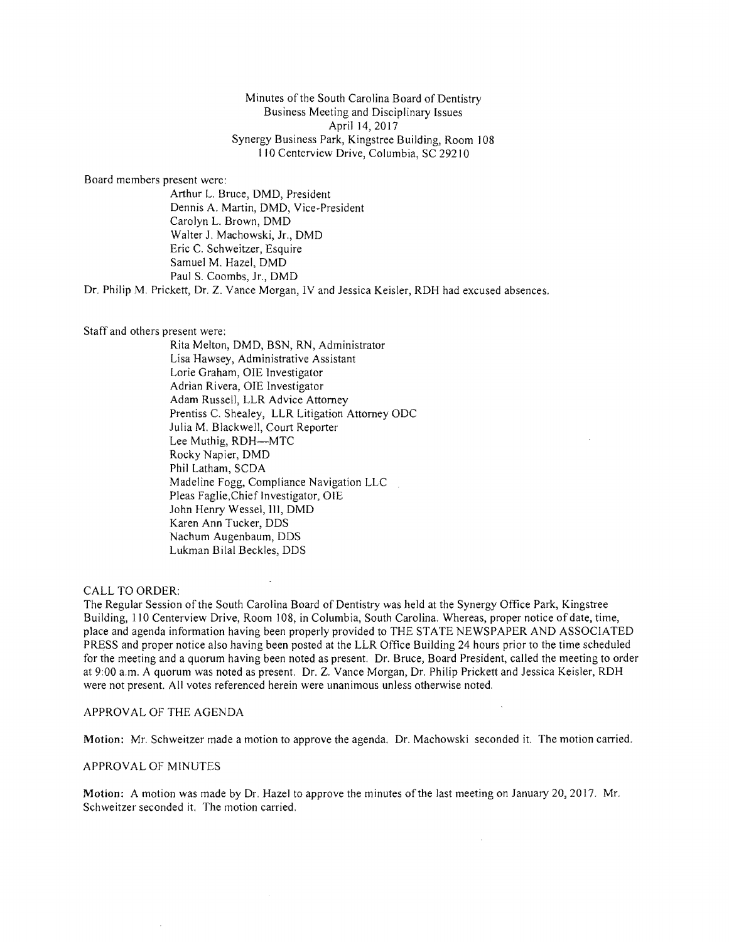Minutes of the South Carolina Board of Dentistry Business Meeting and Disciplinary Issues April 14, 2017 Synergy Business Park, Kingstree Building, Room J08 J ) 0 Centerview Drive, Columbia, SC 292 J0

Board members present were:

Arthur L. Bruce, DMD, President Dennis A. Martin, DMD, Vice-President Carolyn L. Brown, DMD Walter J. Machowski, Jr., DMD Eric C. Schweitzer, Esquire Samuel M. Hazel, DMD Paul S. Coombs, Jr., DMD

Dr. Philip M. Prickett, Dr. Z. Vance Morgan, IV and Jessica Keisler, RDH bad excused absences.

Staff and others present were:

Rita Melton, DMD, BSN, RN, Administrator Lisa Hawsey, Administrative Assistant Lorie Graham, OlE Investigator Adrian Rivera, OIE Investigator Adam Russell, LLR Advice Attorney Prentiss C. Shealey, LLR Litigation Attorney ODC Julia M. Blackwell, Court Reporter Lee Muthig, RDH-MTC Rocky Napier, DMD Phil Latham, SCDA Madeline Fogg, Compliance Navigation LLC Pleas Faglie,Chief Investigator, OlE John Henry Wessel, III, DMD Karen Ann Tucker, DDS Nachum Augenbaum, DDS Lukman Bila! Beckles, DDS

CALL TO ORDER:

The Regular Session of the South Carolina Board of Dentistry was held at the Synergy Office Park, Kingstree Building, 110 Centerview Drive, Room 108, in Columbia, South Carolina. Whereas, proper notice of date, time, place and agenda information having been properly provided to THE STATE NEWSPAPER AND ASSOCIATED PRESS and proper notice also having been posted at the LLR Office Building 24 hours prior to the time scheduled for the meeting and a quorum having been noted as present. Dr. Bruce, Board President, called the meeting to order at 9:00 a.m. A quorum was noted as present. Dr. Z. Vance Morgan, Dr. Philip Prickett and Jessica Keisler, RDH were not present. All votes referenced herein were unanimous unless otherwise noted.

APPROV AL OF THE AGENDA

Motion: Mr. Schweitzer made a motion to approve the agenda. Dr. Machowski seconded it. The motion carried.

APPROVAL OF MINUTES

Motion: A motion was made by Dr. Hazel to approve the minutes of the last meeting on January 20, 2017. Mr. Schweitzer seconded it. The motion carried.

 $\sim$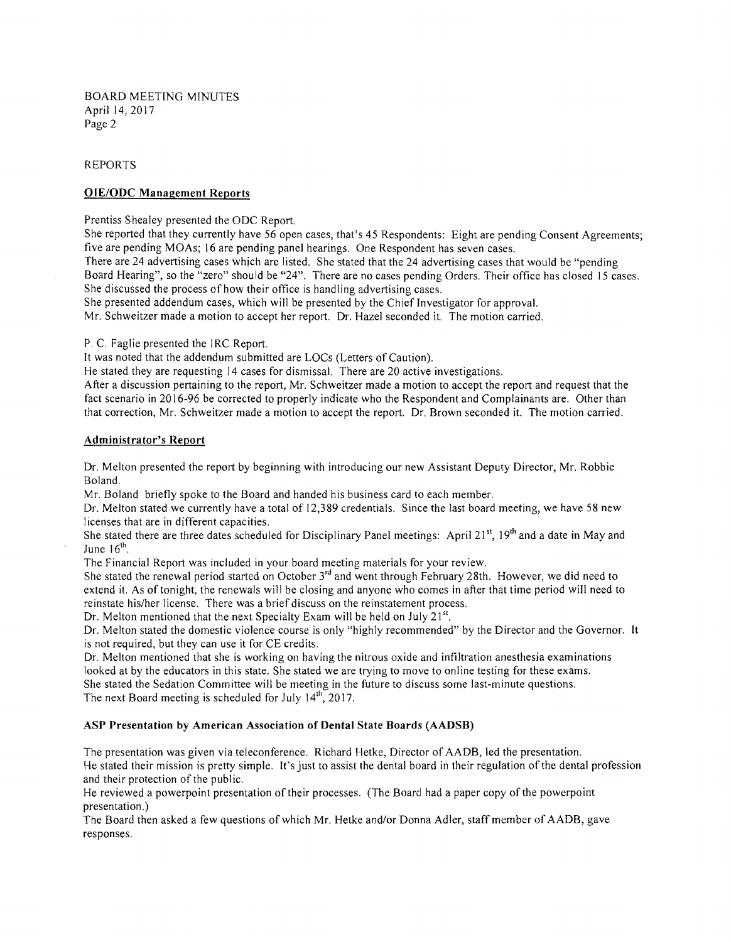BOARD MEETING MINUTES April 14, 2017 Page 2

### REPORTS

# OrE/ODC Management Reports

Prentiss Shealey presented the ODC Report.

She reported that they currently have 56 open cases, that's 45 Respondents: Eight are pending Consent Agreements; five are pending MOAs; 16 are pending panel hearings. One Respondent has seven cases.

There are 24 advertising cases which are listed. She stated that the 24 advertising cases that would be "pending Board Hearing", so the "zero" should be "24". There are no cases pending Orders. Their office has closed 15 cases. She discussed the process of how their office is handling advertising cases.

She presented addendum cases, which will be presented by the Chief Investigator for approval.

Mr. Schweitzer made a motion to accept her report. Dr. Hazel seconded it. The motion carried.

P. C. Faglie presented the IRC Report.

It was noted that the addendum submitted are LOCs (Letters of Caution).

He stated they are requesting 14 cases for dismissal. There are 20 active investigations.

After a discussion pertaining to the report, Mr. Schweitzer made a motion to accept the report and request that the fact scenario in 2016-96 be corrected to properly indicate who the Respondent and Complainants are. Other than that correction, Mr. Schweitzer made a motion to accept the report. Dr. Brown seconded it. The motion carried.

#### Administrator'S Report

Dr. Melton presented the report by beginning with introducing our new Assistant Deputy Director, Mr. Robbie Boland.

Mr. Boland briefly spoke to the Board and handed his business card to each member.

Dr. Melton stated we currently have a total of 12,389 credentials. Since the last board meeting, we have 58 new licenses that are in different capacities.

She stated there are three dates scheduled for Disciplinary Panel meetings: April 21<sup>st</sup>, 19<sup>th</sup> and a date in May and June  $16<sup>th</sup>$ .

The Financial Report was included in your board meeting materials for your review.

She stated the renewal period started on October 3<sup>rd</sup> and went through February 28th. However, we did need to extend it. As of tonight, the renewals will be closing and anyone who comes in after that time period will need to reinstate his/her license. There was a brief discuss on the reinstatement process.

Dr. Melton mentioned that the next Specialty Exam will be held on July  $21^{st}$ .

Dr. Melton stated the domestic violence course is only "highly recommended" by the Director and the Governor. It is not required, but they can use it for CE credits.

Dr. Melton mentioned that she is working on having the nitrous oxide and infiltration anesthesia examinations looked at by the educators in this state. She stated we are trying to move to online testing for these exams. She stated the Sedation Committee will be meeting in the future to discuss some last-minute questions. The next Board meeting is scheduled for July  $14^{th}$ , 2017.

# ASP Presentation by American Association of Dental State Boards (AADSB)

The presentation was given via teleconference. Richard Hetke, Director of AADB, led the presentation. He stated their mission is pretty simple. It's just to assist the dental board in their regulation ofthe dental profession and their protection of the public.

He reviewed a powerpoint presentation of their processes. (The Board had a paper copy of the powerpoint presentation. )

The Board then asked a few questions of which Mr. Hetke and/or Donna Adler, staff member of AADB, gave responses.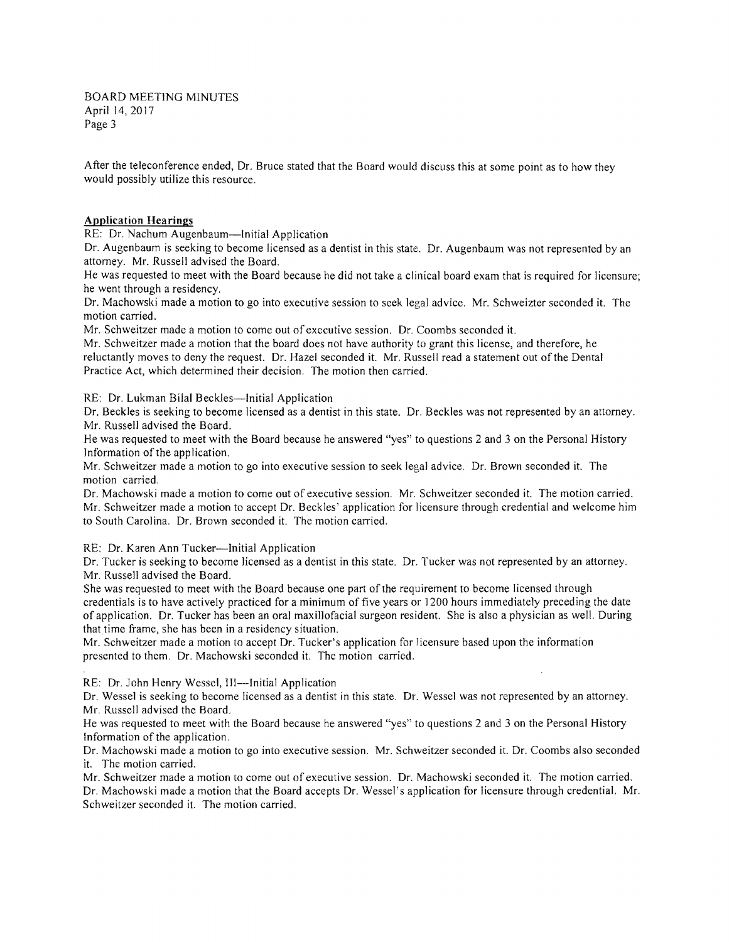BOARD MEETING MINUTES April 14,2017 Page 3

After the teleconference ended, Dr. Bruce stated that the Board would discuss this at some point as to how they would possibly utilize this resource.

## **Application Hearings**

RE: Dr. Nachum Augenbaum-Initial Application

 Dr. Augenbaum is seeking to become licensed as a dentist in this state. Dr. Augenbaum was not represented by an attorney. Mr. Russell advised the Board.

 He was requested to meet with the Board because he did not take a clinical board exam that is required for licensure; he went through a residency.

Dr. Machowski made a motion to go into executive session to seek legal advice. Mr. Schweizter seconded it. The motion carried.

Mr. Schweitzer made a motion to come out of executive session. Dr. Coombs seconded it.

Mr. Schweitzer made a motion that the board does not have authority to grant this license, and therefore, he reluctantly moves to deny the request. Dr. Hazel seconded it. Mr. Russell read a statement out of the Dental Practice Act, which determined their decision. The motion then carried.

RE: Dr. Lukman Bilal Beckles-Initial Application

Dr. Beckles is seeking to become licensed as a dentist in this state. Dr. Beckles was not represented by an attorney. Mr. Russell advised the Board.

He was requested to meet with the Board because he answered "yes" to questions 2 and 3 on the Personal History Information of the application.

Mr. Schweitzer made a motion to go into executive session to seek legal advice. Dr. Brown seconded it. The motion carried.

Dr. Machowski made a motion to come out of executive session. Mr. Schweitzer seconded it. The motion carried. Mr. Schweitzer made a motion to accept Dr. Beckles' application for licensure through credential and welcome him to South Carolina. Dr. Brown seconded it. The motion carried.

RE: Dr. Karen Ann Tucker-Initial Application

Dr. Tucker is seeking to become licensed as a dentist in this state. Dr. Tucker was not represented by an attorney. Mr. Russell advised the Board.

She was requested to meet with the Board because one part of the requirement to become licensed through credentials is to have actively practiced for a minimum of five years or 1200 hours immediately preceding the date of application. Dr. Tucker has been an oral maxillofacial surgeon resident. She is also a physician as well. During that time frame, she has been in a residency situation.

Mr. Schweitzer made a motion to accept Dr. Tucker's application for licensure based upon the information presented to them. Dr. Machowski seconded it. The motion carried.

RE: Dr. John Henry Wessel, III-Initial Application

Dr. Wessel is seeking to become licensed as a dentist in this state. Dr. Wessel was not represented by an attorney. Mr. Russell advised the Board.

He was requested to meet with the Board because he answered "yes" to questions 2 and 3 on the Personal History Information of the application.

Dr. Machowski made a motion to go into executive session. Mr. Schweitzer seconded it. Dr. Coombs also seconded it. The motion carried.

Mr. Schweitzer made a motion to come out of executive session. Dr. Machowski seconded it. The motion carried.

Dr. Machowski made a motion that the Board accepts Dr. Wessel's application for licensure through credential. Mr. Schweitzer seconded it. The motion carried.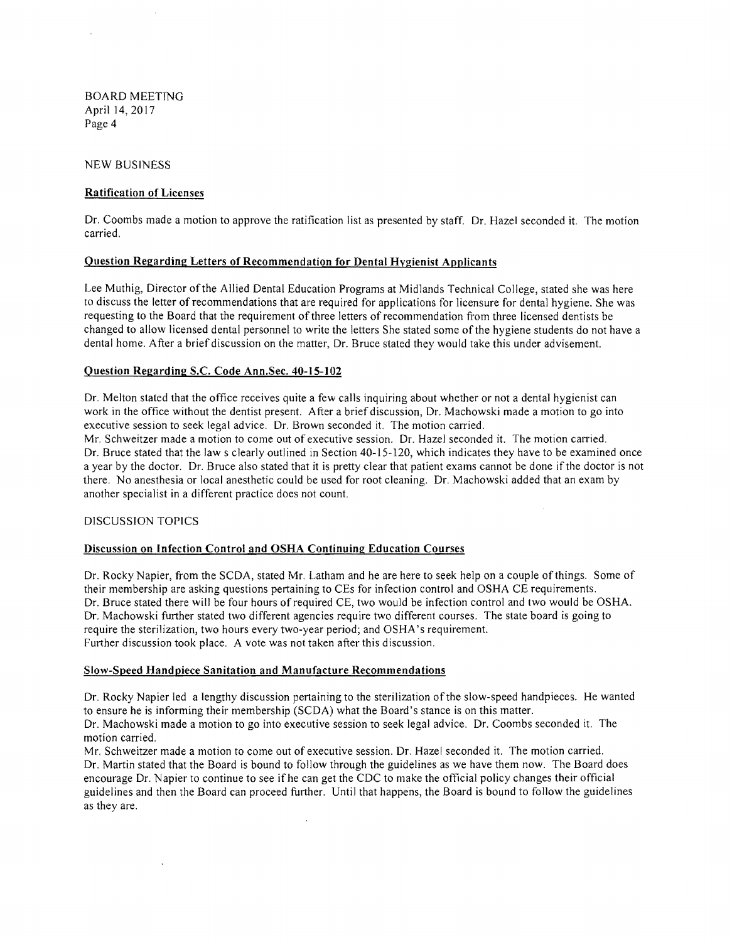BOARD MEETING April 14, 2017 Page 4

NEW BUSINESS

### Ratification of Licenses

Dr. Coombs made a motion to approve the ratification list as presented by staff. Dr. Hazel seconded it. The motion carried.

#### Question Regarding Letters of Recommendation for Dental Hygienist Applicants

Lee Muthig, Director ofthe Allied Dental Education Programs at Midlands Technical College, stated she was here to discuss the letter of recommendations that are required for applications for licensure for dental hygiene. She was requesting to the Board that the requirement ofthree letters of recommendation from three licensed dentists be changed to allow licensed dental personnel to write the letters She stated some ofthe hygiene students do not have a dental home. After a brief discussion on the matter, Dr. Bruce stated they would take this under advisement.

#### Question Regarding S.c. Code Ann.Sec. 40-15-102

Dr. Melton stated that the office receives quite a few calls inquiring about whether or not a dental hygienist can work in the office without the dentist present. After a brief discussion, Dr. Machowski made a motion to go into executive session to seek legal advice. Dr. Brown seconded it. The motion carried.

Mr. Schweitzer made a motion to come out of executive session. Dr. Hazel seconded it. The motion carried. Dr. Bruce stated that the Jaw s clearly outlined in Section 40-15-120, which indicates they have to be examined once a year by the doctor. Dr. Bruce also stated that it is pretty clear that patient exams cannot be done if the doctor is not there. No anesthesia or local anesthetic could be used for root cleaning. Dr. Machowski added that an exam by another specialist in a different practice does not count.

# DISCUSSION TOPICS

## Discussion on Infection Control and OSHA Continuing Education Courses

Dr. Rocky Napier, from the SCDA, stated Mr. Latham and he are here to seek help on a couple of things. Some of their membership are asking questions pertaining to CEs for infection control and OSHA CE requirements. Dr. Bruce stated there will be four hours of required CE, two would be infection control and two would be OSHA. Dr. Machowski further stated two different agencies require two different courses. The state board is going to require the sterilization, two hours every two-year period; and OSHA's requirement. Further discussion took place. A vote was not taken after this discussion.

#### Slow-Speed Handpiece Sanitation and Manufacture Recommendations

Dr. Rocky Napier led a lengthy discussion pertaining to the sterilization of the slow-speed handpieces. He wanted to ensure he is informing their membership (SCDA) what the Board's stance is on this matter.

Dr. Machowski made a motion to go into executive session to seek legal advice. Dr. Coombs seconded it. The motion carried.

Mr. Schweitzer made a motion to come out of executive session. Dr. Hazel seconded it. The motion carried. Dr. Martin stated that the Board is bound to follow through the guidelines as we have them now. The Board does encourage Dr. Napier to continue to see ifhe can get the CDC to make the official policy changes their official guidelines and then the Board can proceed further. Until that happens, the Board is bound to follow the guidelines as they are.